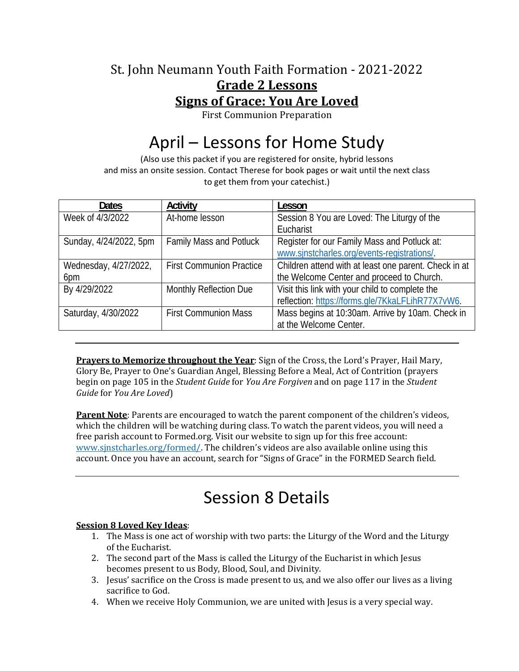### St. John Neumann Youth Faith Formation - 2021-2022 **Grade 2 Lessons Signs of Grace: You Are Loved**

First Communion Preparation

# April – Lessons for Home Study

(Also use this packet if you are registered for onsite, hybrid lessons and miss an onsite session. Contact Therese for book pages or wait until the next class to get them from your catechist.)

| <b>Dates</b>           | Activity                        | Lesson                                                |
|------------------------|---------------------------------|-------------------------------------------------------|
| Week of 4/3/2022       | At-home lesson                  | Session 8 You are Loved: The Liturgy of the           |
|                        |                                 | Eucharist                                             |
| Sunday, 4/24/2022, 5pm | <b>Family Mass and Potluck</b>  | Register for our Family Mass and Potluck at:          |
|                        |                                 | www.sinstcharles.org/events-registrations/.           |
| Wednesday, 4/27/2022,  | <b>First Communion Practice</b> | Children attend with at least one parent. Check in at |
| 6pm                    |                                 | the Welcome Center and proceed to Church.             |
| By 4/29/2022           | <b>Monthly Reflection Due</b>   | Visit this link with your child to complete the       |
|                        |                                 | reflection: https://forms.gle/7KkaLFLihR77X7vW6.      |
| Saturday, 4/30/2022    | <b>First Communion Mass</b>     | Mass begins at 10:30am. Arrive by 10am. Check in      |
|                        |                                 | at the Welcome Center.                                |

**Prayers to Memorize throughout the Year**: Sign of the Cross, the Lord's Prayer, Hail Mary, Glory Be, Prayer to One's Guardian Angel, Blessing Before a Meal, Act of Contrition (prayers begin on page 105 in the *Student Guide* for *You Are Forgiven* and on page 117 in the *Student Guide* for *You Are Loved*)

**Parent Note**: Parents are encouraged to watch the parent component of the children's videos, which the children will be watching during class. To watch the parent videos, you will need a free parish account to Formed.org. Visit our website to sign up for this free account: www.sinstcharles.org/formed/. The children's videos are also available online using this account. Once you have an account, search for "Signs of Grace" in the FORMED Search field.

# Session 8 Details

#### **Session 8 Loved Key Ideas**:

- 1. The Mass is one act of worship with two parts: the Liturgy of the Word and the Liturgy of the Eucharist.
- 2. The second part of the Mass is called the Liturgy of the Eucharist in which Jesus becomes present to us Body, Blood, Soul, and Divinity.
- 3. Jesus' sacrifice on the Cross is made present to us, and we also offer our lives as a living sacrifice to God.
- 4. When we receive Holy Communion, we are united with Jesus is a very special way.